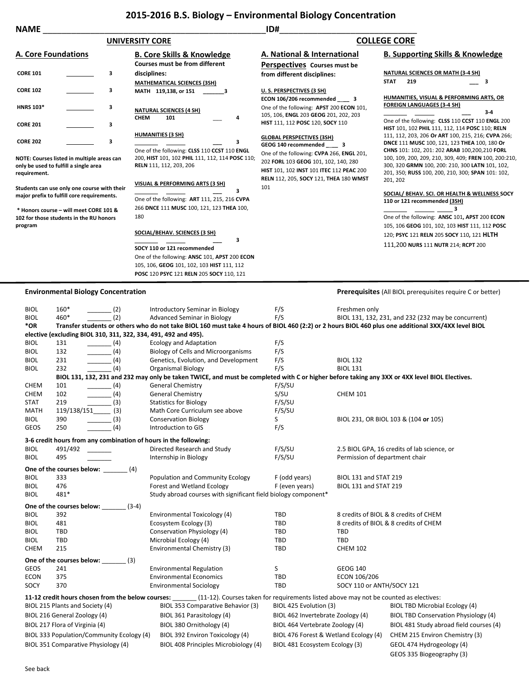## **2015-2016 B.S. Biology – Environmental Biology Concentration**

| <b>NAME</b>                                                                                                                                                                               |                                            |                                                                                                                                                                        |                                                                                                                                                                         |                     |                                                                                                                                                                                                                                                                                                             |  |
|-------------------------------------------------------------------------------------------------------------------------------------------------------------------------------------------|--------------------------------------------|------------------------------------------------------------------------------------------------------------------------------------------------------------------------|-------------------------------------------------------------------------------------------------------------------------------------------------------------------------|---------------------|-------------------------------------------------------------------------------------------------------------------------------------------------------------------------------------------------------------------------------------------------------------------------------------------------------------|--|
|                                                                                                                                                                                           |                                            | <b>UNIVERSITY CORE</b>                                                                                                                                                 |                                                                                                                                                                         | <b>COLLEGE CORE</b> |                                                                                                                                                                                                                                                                                                             |  |
| <b>A. Core Foundations</b>                                                                                                                                                                |                                            | <b>B. Core Skills &amp; Knowledge</b><br>Courses must be from different                                                                                                | A. National & International<br>Perspectives Courses must be                                                                                                             |                     | <b>B. Supporting Skills &amp; Knowledge</b>                                                                                                                                                                                                                                                                 |  |
| <b>CORE 101</b>                                                                                                                                                                           | 3                                          | disciplines:<br><b>MATHEMATICAL SCIENCES (3SH)</b>                                                                                                                     | from different disciplines:                                                                                                                                             | <b>STAT</b>         | <b>NATURAL SCIENCES OR MATH (3-4 SH)</b><br>3<br>219                                                                                                                                                                                                                                                        |  |
| <b>CORE 102</b>                                                                                                                                                                           | з                                          | MATH 119,138, or 151<br>- 3                                                                                                                                            | U.S. PERSPECTIVES (3 SH)<br>ECON 106/206 recommended _____ 3                                                                                                            |                     | HUMANITIES, VISUAL & PERFORMING ARTS, OR                                                                                                                                                                                                                                                                    |  |
| <b>HNRS 103*</b>                                                                                                                                                                          | 3                                          | <b>NATURAL SCIENCES (4 SH)</b><br><b>CHEM</b><br>101<br>4                                                                                                              | One of the following: APST 200 ECON 101,<br>105, 106, ENGL 203 GEOG 201, 202, 203                                                                                       |                     | <b>FOREIGN LANGUAGES (3-4 SH)</b><br>$3-4$                                                                                                                                                                                                                                                                  |  |
| <b>CORE 201</b>                                                                                                                                                                           | 3                                          |                                                                                                                                                                        | HIST 111, 112 POSC 120, SOCY 110                                                                                                                                        |                     | One of the following: CLSS 110 CCST 110 ENGL 200<br>HIST 101, 102 PHIL 111, 112, 114 POSC 110; RELN                                                                                                                                                                                                         |  |
| <b>CORE 202</b>                                                                                                                                                                           | 3                                          | <b>HUMANITIES (3 SH)</b><br>3                                                                                                                                          | <b>GLOBAL PERSPECTIVES (3SH)</b><br>GEOG 140 recommended _____ 3                                                                                                        |                     | 111, 112, 203, 206 Or ART 100, 215, 216; CVPA 266;<br>DNCE 111 MUSC 100, 121, 123 THEA 100, 180 Or                                                                                                                                                                                                          |  |
| NOTE: Courses listed in multiple areas can<br>only be used to fulfill a single area<br>requirement.                                                                                       |                                            | One of the following: CLSS 110 CCST 110 ENGL<br>200, HIST 101, 102 PHIL 111, 112, 114 POSC 110;<br>RELN 111, 112, 203, 206                                             | One of the following: CVPA 266, ENGL 201,<br>202 FORL 103 GEOG 101, 102, 140, 280<br>HIST 101, 102 INST 101 ITEC 112 PEAC 200<br>RELN 112, 205, SOCY 121, THEA 180 WMST |                     | CHNS 101: 102, 201: 202 ARAB 100,200,210 FORL<br>100, 109, 200, 209, 210, 309, 409; FREN 100, 200:210,<br>300, 320 GRMN 100, 200: 210, 300 LATN 101, 102,<br>201, 350; RUSS 100, 200, 210, 300; SPAN 101: 102,<br>201, 202<br>SOCIAL/ BEHAV. SCI. OR HEALTH & WELLNESS SOCY<br>110 or 121 recommended (3SH) |  |
| Students can use only one course with their<br>major prefix to fulfill core requirements.<br>* Honors course - will meet CORE 101 &<br>102 for those students in the RU honors<br>program |                                            | VISUAL & PERFORMING ARTS (3 SH)<br>з<br>One of the following: ART 111, 215, 216 CVPA                                                                                   | 101                                                                                                                                                                     |                     |                                                                                                                                                                                                                                                                                                             |  |
|                                                                                                                                                                                           |                                            | 266 DNCE 111 MUSC 100, 121, 123 THEA 100,<br>180                                                                                                                       |                                                                                                                                                                         |                     | 3<br>One of the following: ANSC 101, APST 200 ECON<br>105, 106 GEOG 101, 102, 103 HIST 111, 112 POSC                                                                                                                                                                                                        |  |
|                                                                                                                                                                                           |                                            | <b>SOCIAL/BEHAV. SCIENCES (3 SH)</b><br>3                                                                                                                              |                                                                                                                                                                         |                     | 120; PSYC 121 RELN 205 SOCY 110, 121 HLTH                                                                                                                                                                                                                                                                   |  |
|                                                                                                                                                                                           |                                            | SOCY 110 or 121 recommended<br>One of the following: ANSC 101, APST 200 ECON<br>105, 106, GEOG 101, 102, 103 HIST 111, 112<br>POSC 120 PSYC 121 RELN 205 SOCY 110, 121 |                                                                                                                                                                         |                     | 111,200 NURS 111 NUTR 214; RCPT 200                                                                                                                                                                                                                                                                         |  |
|                                                                                                                                                                                           | <b>Environmental Biology Concentration</b> |                                                                                                                                                                        |                                                                                                                                                                         |                     | <b>Prerequisites</b> (All BIOL prerequisites require C or better)                                                                                                                                                                                                                                           |  |
| $160*$<br><b>BIOL</b><br>460*<br>BIOL                                                                                                                                                     | (2)<br>(2)                                 | Introductory Seminar in Biology<br><b>Advanced Seminar in Biology</b>                                                                                                  | F/S<br>F/S                                                                                                                                                              | Freshmen only       | BIOL 131, 132, 231, and 232 (232 may be concurrent)                                                                                                                                                                                                                                                         |  |
| *OR                                                                                                                                                                                       |                                            | Transfer students or others who do not take BIOL 160 must take 4 hours of BIOL 460 (2:2) or 2 hours BIOL 460 plus one additional 3XX/4XX level BIOL                    |                                                                                                                                                                         |                     |                                                                                                                                                                                                                                                                                                             |  |
|                                                                                                                                                                                           |                                            | elective (excluding BIOL 310, 311, 322, 334, 491, 492 and 495).                                                                                                        |                                                                                                                                                                         |                     |                                                                                                                                                                                                                                                                                                             |  |
| 131<br><b>BIOL</b><br>132                                                                                                                                                                 | $\sim$ (4)                                 | <b>Ecology and Adaptation</b>                                                                                                                                          | F/S<br>F/S                                                                                                                                                              |                     |                                                                                                                                                                                                                                                                                                             |  |
| BIOL<br>BIOL<br>231                                                                                                                                                                       | (4)                                        | <b>Biology of Cells and Microorganisms</b><br>Genetics, Evolution, and Development                                                                                     | F/S                                                                                                                                                                     | <b>BIOL 132</b>     |                                                                                                                                                                                                                                                                                                             |  |
| 232<br><b>BIOL</b>                                                                                                                                                                        | (4)<br>(4)                                 | <b>Organismal Biology</b>                                                                                                                                              | F/S                                                                                                                                                                     | <b>BIOL 131</b>     |                                                                                                                                                                                                                                                                                                             |  |

| <b>DIUL</b> | 232<br>- 141                                                     | Organismal Bloidgy                                                                                                                            | <b>F/3</b>                            | BIUL 131                       |                                             |  |  |
|-------------|------------------------------------------------------------------|-----------------------------------------------------------------------------------------------------------------------------------------------|---------------------------------------|--------------------------------|---------------------------------------------|--|--|
|             |                                                                  | BIOL 131, 132, 231 and 232 may only be taken TWICE, and must be completed with C or higher before taking any 3XX or 4XX level BIOL Electives. |                                       |                                |                                             |  |  |
| <b>CHEM</b> | (4)<br>101                                                       | <b>General Chemistry</b>                                                                                                                      | F/S/SU                                |                                |                                             |  |  |
| <b>CHEM</b> | (4)<br>102                                                       | <b>General Chemistry</b>                                                                                                                      | S/SU                                  | <b>CHEM 101</b>                |                                             |  |  |
| <b>STAT</b> | (3)<br>219                                                       | <b>Statistics for Biology</b>                                                                                                                 | F/S/SU                                |                                |                                             |  |  |
| <b>MATH</b> | 119/138/151<br>(3)                                               | Math Core Curriculum see above                                                                                                                | F/S/SU                                |                                |                                             |  |  |
| <b>BIOL</b> | (3)<br>390                                                       | <b>Conservation Biology</b>                                                                                                                   | S                                     |                                | BIOL 231, OR BIOL 103 & (104 or 105)        |  |  |
| GEOS        | (4)<br>250                                                       | Introduction to GIS                                                                                                                           | F/S                                   |                                |                                             |  |  |
|             | 3-6 credit hours from any combination of hours in the following: |                                                                                                                                               |                                       |                                |                                             |  |  |
| <b>BIOL</b> | 491/492                                                          | Directed Research and Study                                                                                                                   | F/S/SU                                |                                | 2.5 BIOL GPA, 16 credits of lab science, or |  |  |
| <b>BIOL</b> | 495                                                              | Internship in Biology                                                                                                                         | F/S/SU                                | Permission of department chair |                                             |  |  |
|             | One of the courses below:<br>(4)                                 |                                                                                                                                               |                                       |                                |                                             |  |  |
| <b>BIOL</b> | 333                                                              | Population and Community Ecology                                                                                                              | F (odd years)                         | <b>BIOL 131 and STAT 219</b>   |                                             |  |  |
| <b>BIOL</b> | 476                                                              | Forest and Wetland Ecology                                                                                                                    | F (even years)                        |                                | BIOL 131 and STAT 219                       |  |  |
| <b>BIOL</b> | 481*                                                             | Study abroad courses with significant field biology component*                                                                                |                                       |                                |                                             |  |  |
|             | One of the courses below:<br>$(3-4)$                             |                                                                                                                                               |                                       |                                |                                             |  |  |
| <b>BIOL</b> | 392                                                              | Environmental Toxicology (4)                                                                                                                  | <b>TBD</b>                            |                                | 8 credits of BIOL & 8 credits of CHEM       |  |  |
| <b>BIOL</b> | 481                                                              | Ecosystem Ecology (3)                                                                                                                         | <b>TBD</b>                            |                                | 8 credits of BIOL & 8 credits of CHEM       |  |  |
| <b>BIOL</b> | <b>TBD</b>                                                       | Conservation Physiology (4)                                                                                                                   | <b>TBD</b>                            | <b>TBD</b>                     |                                             |  |  |
| <b>BIOL</b> | <b>TBD</b>                                                       | Microbial Ecology (4)                                                                                                                         | <b>TBD</b>                            | <b>TBD</b>                     |                                             |  |  |
| <b>CHEM</b> | 215                                                              | Environmental Chemistry (3)                                                                                                                   | <b>TBD</b>                            | <b>CHEM 102</b>                |                                             |  |  |
|             | One of the courses below: (3)                                    |                                                                                                                                               |                                       |                                |                                             |  |  |
| <b>GEOS</b> | 241                                                              | <b>Environmental Regulation</b>                                                                                                               | S                                     | <b>GEOG 140</b>                |                                             |  |  |
| <b>ECON</b> | 375                                                              | <b>Environmental Economics</b>                                                                                                                | <b>TBD</b>                            | ECON 106/206                   |                                             |  |  |
| SOCY        | 370                                                              | <b>Environmental Sociology</b>                                                                                                                | <b>TBD</b>                            | SOCY 110 or ANTH/SOCY 121      |                                             |  |  |
|             |                                                                  | 11-12 credit hours chosen from the below courses: [11-12]. Courses taken for requirements listed above may not be counted as electives:       |                                       |                                |                                             |  |  |
|             | BIOL 215 Plants and Society (4)                                  | BIOL 353 Comparative Behavior (3)                                                                                                             | BIOL 425 Evolution (3)                |                                | <b>BIOL TBD Microbial Ecology (4)</b>       |  |  |
|             | BIOL 216 General Zoology (4)                                     | BIOL 361 Parasitology (4)                                                                                                                     | BIOL 462 Invertebrate Zoology (4)     |                                | BIOL TBD Conservation Physiology (4)        |  |  |
|             | BIOL 217 Flora of Virginia (4)                                   | BIOL 380 Ornithology (4)                                                                                                                      | BIOL 464 Vertebrate Zoology (4)       |                                | BIOL 481 Study abroad field courses (4)     |  |  |
|             | BIOL 333 Population/Community Ecology (4)                        | BIOL 392 Environ Toxicology (4)                                                                                                               | BIOL 476 Forest & Wetland Ecology (4) |                                | CHEM 215 Environ Chemistry (3)              |  |  |
|             | BIOL 351 Comparative Physiology (4)                              | BIOL 408 Principles Microbiology (4)                                                                                                          | BIOL 481 Ecosystem Ecology (3)        |                                | GEOL 474 Hydrogeology (4)                   |  |  |
|             |                                                                  |                                                                                                                                               |                                       |                                | GEOS 335 Biogeography (3)                   |  |  |